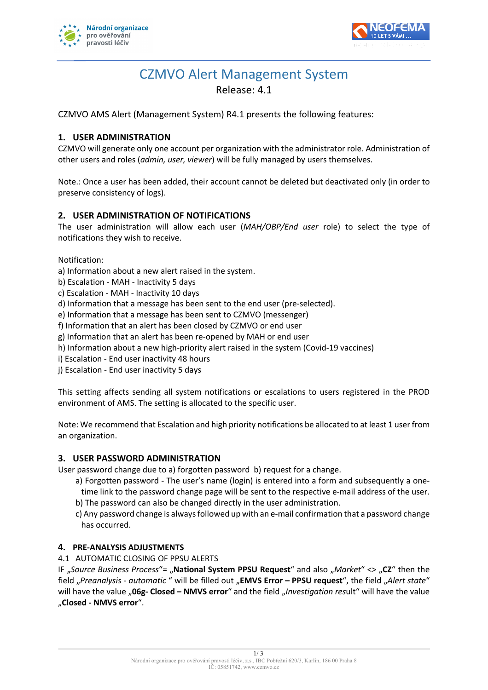



# CZMVO Alert Management System Release: 4.1

CZMVO AMS Alert (Management System) R4.1 presents the following features:

# **1. USER ADMINISTRATION**

CZMVO will generate only one account per organization with the administrator role. Administration of other users and roles (*admin, user, viewer*) will be fully managed by users themselves.

Note.: Once a user has been added, their account cannot be deleted but deactivated only (in order to preserve consistency of logs).

# **2. USER ADMINISTRATION OF NOTIFICATIONS**

The user administration will allow each user (*MAH/OBP/End user* role) to select the type of notifications they wish to receive.

Notification:

a) Information about a new alert raised in the system.

- b) Escalation MAH Inactivity 5 days
- c) Escalation MAH Inactivity 10 days
- d) Information that a message has been sent to the end user (pre-selected).

e) Information that a message has been sent to CZMVO (messenger)

- f) Information that an alert has been closed by CZMVO or end user
- g) Information that an alert has been re-opened by MAH or end user
- h) Information about a new high-priority alert raised in the system (Covid-19 vaccines)
- i) Escalation End user inactivity 48 hours

j) Escalation - End user inactivity 5 days

This setting affects sending all system notifications or escalations to users registered in the PROD environment of AMS. The setting is allocated to the specific user.

Note: We recommend that Escalation and high priority notifications be allocated to at least 1 user from an organization.

#### **3. USER PASSWORD ADMINISTRATION**

User password change due to a) forgotten password b) request for a change.

- a) Forgotten password The user's name (login) is entered into a form and subsequently a onetime link to the password change page will be sent to the respective e-mail address of the user.
- b) The password can also be changed directly in the user administration.
- c) Any password change is always followed up with an e-mail confirmation that a password change has occurred.

# **4. PRE-ANALYSIS ADJUSTMENTS**

l

4.1 AUTOMATIC CLOSING OF PPSU ALERTS

IF "*Source Business Process*"= "**National System PPSU Request**" and also "*Market*" <> "**CZ**" then the field "*Preanalysis - automatic* " will be filled out "**EMVS Error – PPSU request**", the field "*Alert state*" will have the value "**06g- Closed – NMVS error**" and the field "*Investigation res*ult" will have the value "**Closed - NMVS error**".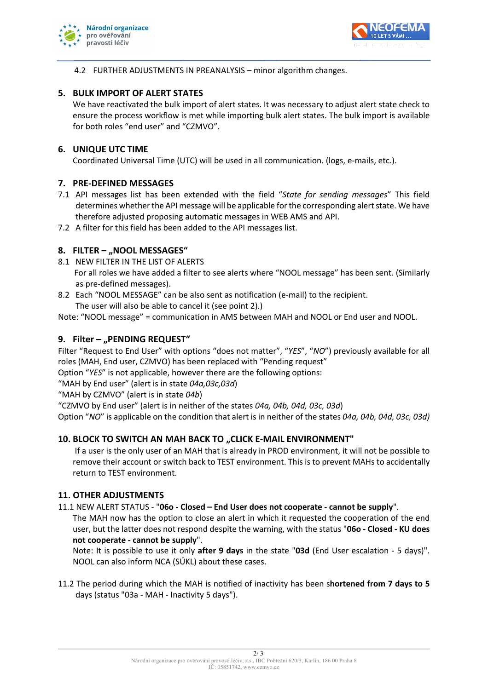



4.2 FURTHER ADJUSTMENTS IN PREANALYSIS – minor algorithm changes.

# **5. BULK IMPORT OF ALERT STATES**

We have reactivated the bulk import of alert states. It was necessary to adjust alert state check to ensure the process workflow is met while importing bulk alert states. The bulk import is available for both roles "end user" and "CZMVO".

## **6. UNIQUE UTC TIME**

Coordinated Universal Time (UTC) will be used in all communication. (logs, e-mails, etc.).

## **7. PRE-DEFINED MESSAGES**

- 7.1 API messages list has been extended with the field "*State for sending messages*" This field determines whether the API message will be applicable for the corresponding alert state. We have therefore adjusted proposing automatic messages in WEB AMS and API.
- 7.2 A filter for this field has been added to the API messages list.

## **8. FILTER – "NOOL MESSAGES"**

- 8.1 NEW FILTER IN THE LIST OF ALERTS For all roles we have added a filter to see alerts where "NOOL message" has been sent. (Similarly as pre-defined messages).
- 8.2 Each "NOOL MESSAGE" can be also sent as notification (e-mail) to the recipient.

The user will also be able to cancel it (see point 2).)

Note: "NOOL message" = communication in AMS between MAH and NOOL or End user and NOOL.

## **9. Filter – "PENDING REQUEST"**

Filter "Request to End User" with options "does not matter", "*YES*", "*NO*") previously available for all roles (MAH, End user, CZMVO) has been replaced with "Pending request"

Option "*YES*" is not applicable, however there are the following options:

"MAH by End user" (alert is in state *04a,03c,03d*)

"MAH by CZMVO" (alert is in state *04b*)

"CZMVO by End user" (alert is in neither of the states *04a, 04b, 04d, 03c, 03d*)

Option "*NO*" is applicable on the condition that alert is in neither of the states *04a, 04b, 04d, 03c, 03d)*

# **10. BLOCK TO SWITCH AN MAH BACK TO "CLICK E-MAIL ENVIRONMENT"**

If a user is the only user of an MAH that is already in PROD environment, it will not be possible to remove their account or switch back to TEST environment. This is to prevent MAHs to accidentally return to TEST environment.

#### **11. OTHER ADJUSTMENTS**

l

11.1 NEW ALERT STATUS - "**06o - Closed – End User does not cooperate - cannot be supply**".

The MAH now has the option to close an alert in which it requested the cooperation of the end user, but the latter does not respond despite the warning, with the status "**06o - Closed - KU does not cooperate - cannot be supply**".

Note: It is possible to use it only **after 9 days** in the state "**03d** (End User escalation - 5 days)". NOOL can also inform NCA (SÚKL) about these cases.

11.2 The period during which the MAH is notified of inactivity has been s**hortened from 7 days to 5**  days (status "03a - MAH - Inactivity 5 days").